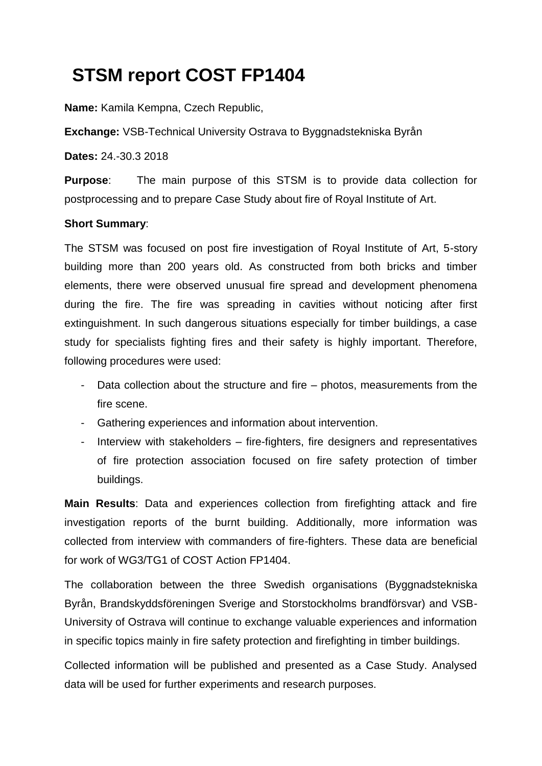# **STSM report COST FP1404**

**Name:** Kamila Kempna, Czech Republic,

**Exchange:** VSB-Technical University Ostrava to Byggnadstekniska Byrån

**Dates:** 24.-30.3 2018

**Purpose**: The main purpose of this STSM is to provide data collection for postprocessing and to prepare Case Study about fire of Royal Institute of Art.

#### **Short Summary**:

The STSM was focused on post fire investigation of Royal Institute of Art, 5-story building more than 200 years old. As constructed from both bricks and timber elements, there were observed unusual fire spread and development phenomena during the fire. The fire was spreading in cavities without noticing after first extinguishment. In such dangerous situations especially for timber buildings, a case study for specialists fighting fires and their safety is highly important. Therefore, following procedures were used:

- Data collection about the structure and fire photos, measurements from the fire scene.
- Gathering experiences and information about intervention.
- Interview with stakeholders fire-fighters, fire designers and representatives of fire protection association focused on fire safety protection of timber buildings.

**Main Results**: Data and experiences collection from firefighting attack and fire investigation reports of the burnt building. Additionally, more information was collected from interview with commanders of fire-fighters. These data are beneficial for work of WG3/TG1 of COST Action FP1404.

The collaboration between the three Swedish organisations (Byggnadstekniska Byrån, Brandskyddsföreningen Sverige and Storstockholms brandförsvar) and VSB-University of Ostrava will continue to exchange valuable experiences and information in specific topics mainly in fire safety protection and firefighting in timber buildings.

Collected information will be published and presented as a Case Study. Analysed data will be used for further experiments and research purposes.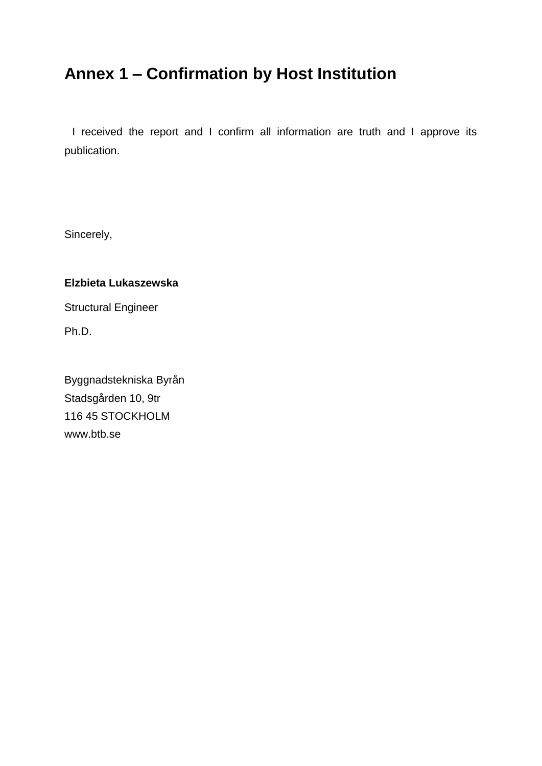# <span id="page-1-0"></span>**Annex 1 – Confirmation by Host Institution**

I received the report and I confirm all information are truth and I approve its publication.

Sincerely,

#### **Elzbieta Lukaszewska**

Structural Engineer

Ph.D.

Byggnadstekniska Byrån Stadsgården 10, 9tr 116 45 STOCKHOLM www.btb.se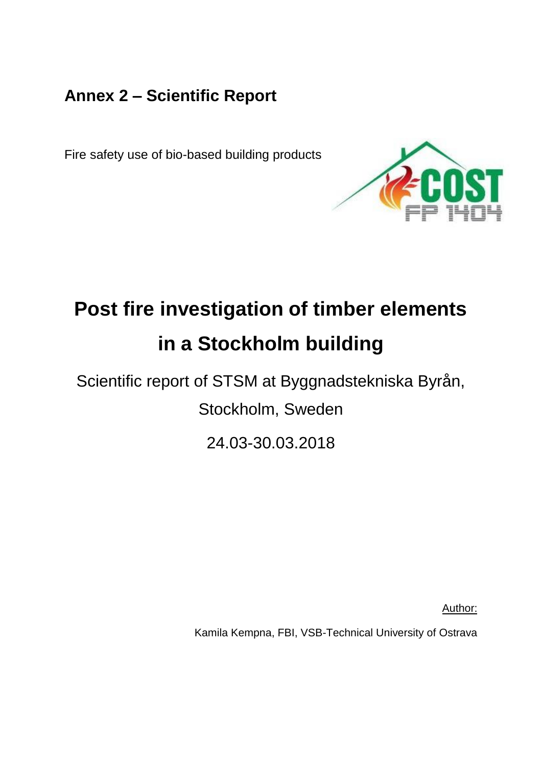# <span id="page-2-0"></span>**Annex 2 – Scientific Report**

Fire safety use of bio-based building products



# **Post fire investigation of timber elements in a Stockholm building**

Scientific report of STSM at Byggnadstekniska Byrån,

Stockholm, Sweden

24.03-30.03.2018

Author:

Kamila Kempna, FBI, VSB-Technical University of Ostrava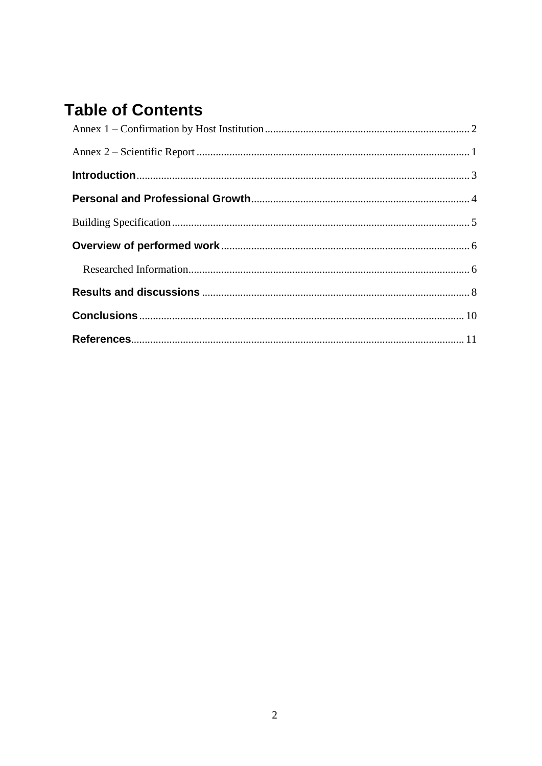# **Table of Contents**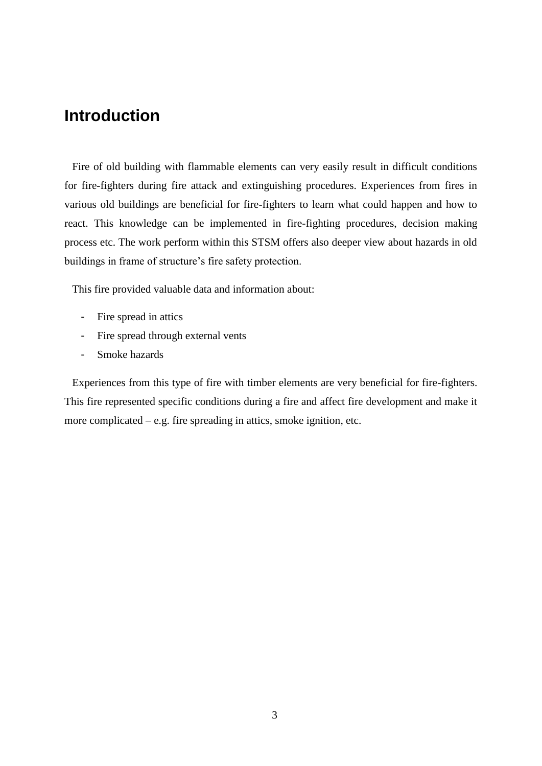## <span id="page-4-0"></span>**Introduction**

Fire of old building with flammable elements can very easily result in difficult conditions for fire-fighters during fire attack and extinguishing procedures. Experiences from fires in various old buildings are beneficial for fire-fighters to learn what could happen and how to react. This knowledge can be implemented in fire-fighting procedures, decision making process etc. The work perform within this STSM offers also deeper view about hazards in old buildings in frame of structure's fire safety protection.

This fire provided valuable data and information about:

- Fire spread in attics
- Fire spread through external vents
- Smoke hazards

Experiences from this type of fire with timber elements are very beneficial for fire-fighters. This fire represented specific conditions during a fire and affect fire development and make it more complicated – e.g. fire spreading in attics, smoke ignition, etc.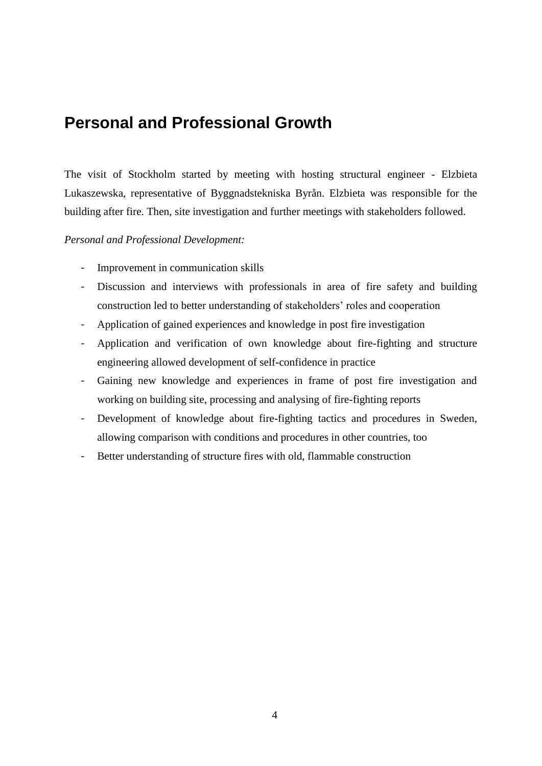# <span id="page-5-0"></span>**Personal and Professional Growth**

The visit of Stockholm started by meeting with hosting structural engineer - Elzbieta Lukaszewska, representative of Byggnadstekniska Byrån. Elzbieta was responsible for the building after fire. Then, site investigation and further meetings with stakeholders followed.

#### *Personal and Professional Development:*

- Improvement in communication skills
- Discussion and interviews with professionals in area of fire safety and building construction led to better understanding of stakeholders' roles and cooperation
- Application of gained experiences and knowledge in post fire investigation
- Application and verification of own knowledge about fire-fighting and structure engineering allowed development of self-confidence in practice
- Gaining new knowledge and experiences in frame of post fire investigation and working on building site, processing and analysing of fire-fighting reports
- Development of knowledge about fire-fighting tactics and procedures in Sweden, allowing comparison with conditions and procedures in other countries, too
- Better understanding of structure fires with old, flammable construction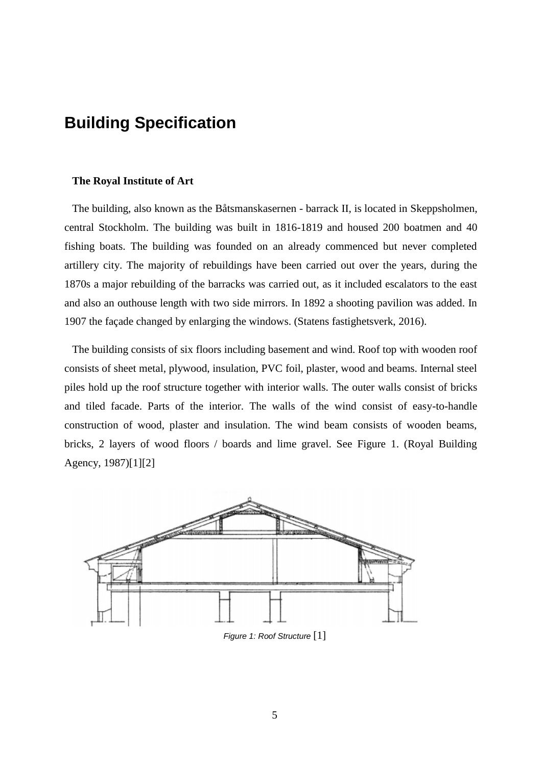# <span id="page-6-0"></span>**Building Specification**

#### **The Royal Institute of Art**

The building, also known as the Båtsmanskasernen - barrack II, is located in Skeppsholmen, central Stockholm. The building was built in 1816-1819 and housed 200 boatmen and 40 fishing boats. The building was founded on an already commenced but never completed artillery city. The majority of rebuildings have been carried out over the years, during the 1870s a major rebuilding of the barracks was carried out, as it included escalators to the east and also an outhouse length with two side mirrors. In 1892 a shooting pavilion was added. In 1907 the façade changed by enlarging the windows. (Statens fastighetsverk, 2016).

The building consists of six floors including basement and wind. Roof top with wooden roof consists of sheet metal, plywood, insulation, PVC foil, plaster, wood and beams. Internal steel piles hold up the roof structure together with interior walls. The outer walls consist of bricks and tiled facade. Parts of the interior. The walls of the wind consist of easy-to-handle construction of wood, plaster and insulation. The wind beam consists of wooden beams, bricks, 2 layers of wood floors / boards and lime gravel. See Figure 1. (Royal Building Agency, 1987[\)\[1\]\[2\]](#page-12-1)



*Figure 1: Roof Structure* [\[1\]](#page-12-1)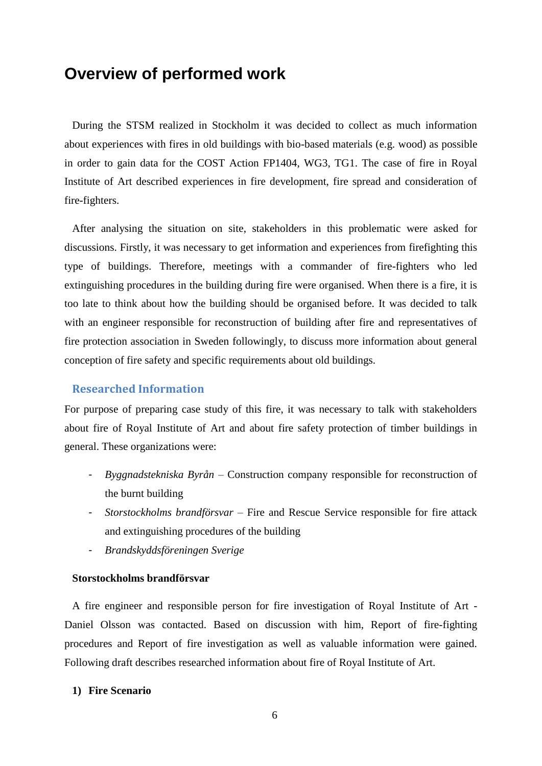### <span id="page-7-0"></span>**Overview of performed work**

During the STSM realized in Stockholm it was decided to collect as much information about experiences with fires in old buildings with bio-based materials (e.g. wood) as possible in order to gain data for the COST Action FP1404, WG3, TG1. The case of fire in Royal Institute of Art described experiences in fire development, fire spread and consideration of fire-fighters.

After analysing the situation on site, stakeholders in this problematic were asked for discussions. Firstly, it was necessary to get information and experiences from firefighting this type of buildings. Therefore, meetings with a commander of fire-fighters who led extinguishing procedures in the building during fire were organised. When there is a fire, it is too late to think about how the building should be organised before. It was decided to talk with an engineer responsible for reconstruction of building after fire and representatives of fire protection association in Sweden followingly, to discuss more information about general conception of fire safety and specific requirements about old buildings.

#### <span id="page-7-1"></span>**Researched Information**

For purpose of preparing case study of this fire, it was necessary to talk with stakeholders about fire of Royal Institute of Art and about fire safety protection of timber buildings in general. These organizations were:

- *Byggnadstekniska Byrån –* Construction company responsible for reconstruction of the burnt building
- *Storstockholms brandförsvar –* Fire and Rescue Service responsible for fire attack and extinguishing procedures of the building
- *Brandskyddsföreningen Sverige*

#### **Storstockholms brandförsvar**

A fire engineer and responsible person for fire investigation of Royal Institute of Art - Daniel Olsson was contacted. Based on discussion with him, Report of fire-fighting procedures and Report of fire investigation as well as valuable information were gained. Following draft describes researched information about fire of Royal Institute of Art.

#### **1) Fire Scenario**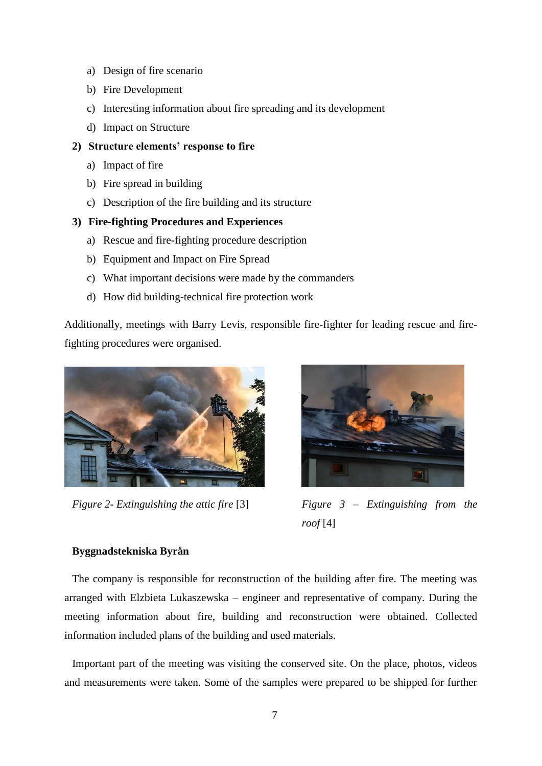- a) Design of fire scenario
- b) Fire Development
- c) Interesting information about fire spreading and its development
- d) Impact on Structure
- **2) Structure elements' response to fire**
	- a) Impact of fire
	- b) Fire spread in building
	- c) Description of the fire building and its structure

#### **3) Fire-fighting Procedures and Experiences**

- a) Rescue and fire-fighting procedure description
- b) Equipment and Impact on Fire Spread
- c) What important decisions were made by the commanders
- d) How did building-technical fire protection work

Additionally, meetings with Barry Levis, responsible fire-fighter for leading rescue and firefighting procedures were organised.





*Figure 2- Extinguishing the attic fire* [\[3\]](#page-12-2) *Figure 3 – Extinguishing from the roof* [\[4\]](#page-12-3)

#### **Byggnadstekniska Byrån**

The company is responsible for reconstruction of the building after fire. The meeting was arranged with Elzbieta Lukaszewska – engineer and representative of company. During the meeting information about fire, building and reconstruction were obtained. Collected information included plans of the building and used materials.

Important part of the meeting was visiting the conserved site. On the place, photos, videos and measurements were taken. Some of the samples were prepared to be shipped for further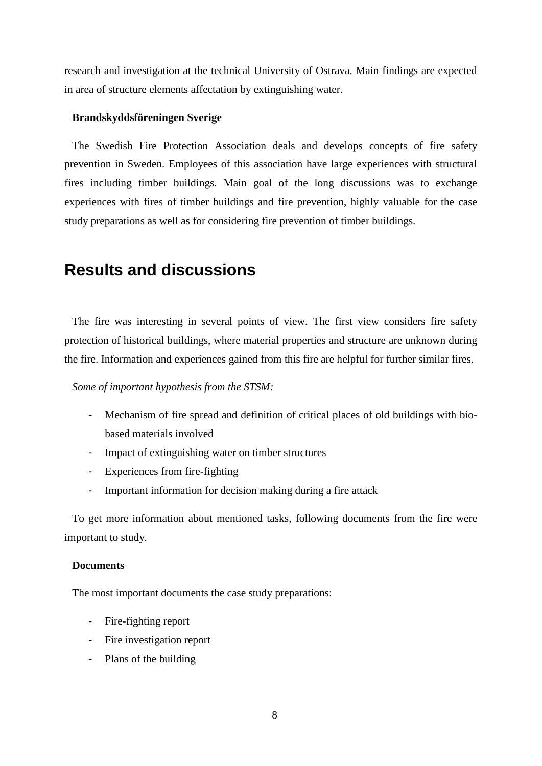research and investigation at the technical University of Ostrava. Main findings are expected in area of structure elements affectation by extinguishing water.

#### **Brandskyddsföreningen Sverige**

The Swedish Fire Protection Association deals and develops concepts of fire safety prevention in Sweden. Employees of this association have large experiences with structural fires including timber buildings. Main goal of the long discussions was to exchange experiences with fires of timber buildings and fire prevention, highly valuable for the case study preparations as well as for considering fire prevention of timber buildings.

### <span id="page-9-0"></span>**Results and discussions**

The fire was interesting in several points of view. The first view considers fire safety protection of historical buildings, where material properties and structure are unknown during the fire. Information and experiences gained from this fire are helpful for further similar fires.

*Some of important hypothesis from the STSM:* 

- Mechanism of fire spread and definition of critical places of old buildings with biobased materials involved
- Impact of extinguishing water on timber structures
- Experiences from fire-fighting
- Important information for decision making during a fire attack

To get more information about mentioned tasks, following documents from the fire were important to study.

#### **Documents**

The most important documents the case study preparations:

- Fire-fighting report
- Fire investigation report
- Plans of the building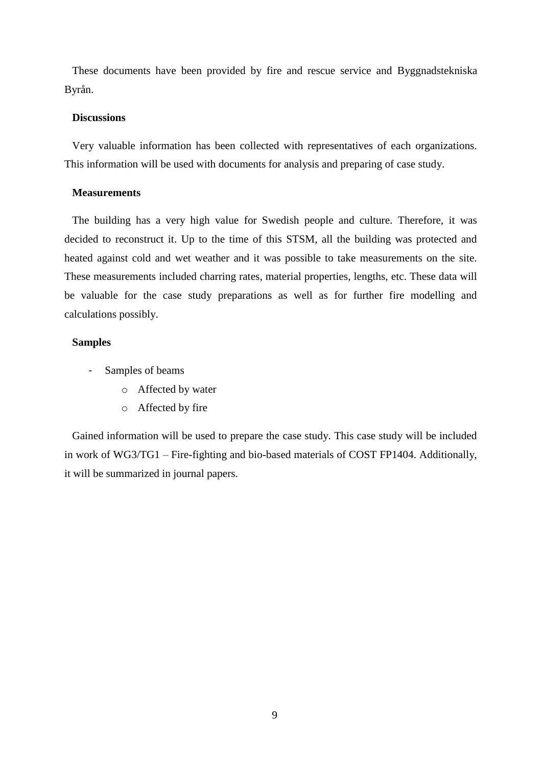These documents have been provided by fire and rescue service and Byggnadstekniska Byrån.

#### **Discussions**

Very valuable information has been collected with representatives of each organizations. This information will be used with documents for analysis and preparing of case study.

#### **Measurements**

The building has a very high value for Swedish people and culture. Therefore, it was decided to reconstruct it. Up to the time of this STSM, all the building was protected and heated against cold and wet weather and it was possible to take measurements on the site. These measurements included charring rates, material properties, lengths, etc. These data will be valuable for the case study preparations as well as for further fire modelling and calculations possibly.

#### **Samples**

- Samples of beams
	- o Affected by water
	- o Affected by fire

Gained information will be used to prepare the case study. This case study will be included in work of WG3/TG1 – Fire-fighting and bio-based materials of COST FP1404. Additionally, it will be summarized in journal papers.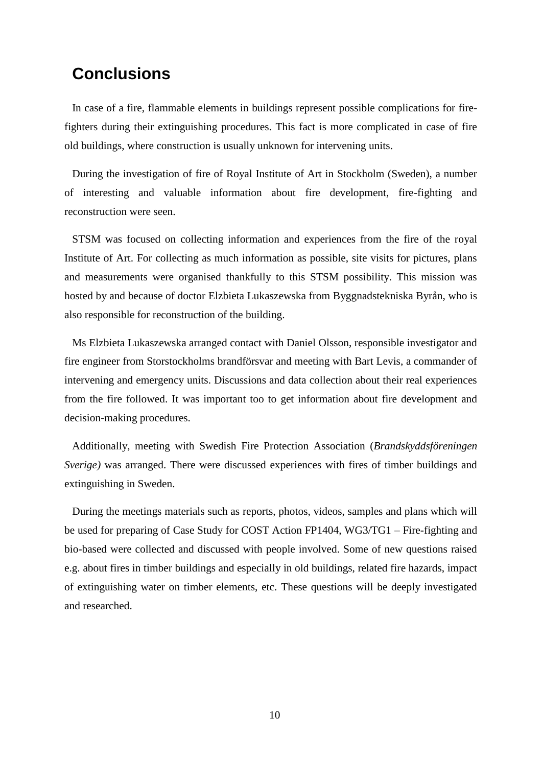### <span id="page-11-0"></span>**Conclusions**

In case of a fire, flammable elements in buildings represent possible complications for firefighters during their extinguishing procedures. This fact is more complicated in case of fire old buildings, where construction is usually unknown for intervening units.

During the investigation of fire of Royal Institute of Art in Stockholm (Sweden), a number of interesting and valuable information about fire development, fire-fighting and reconstruction were seen.

STSM was focused on collecting information and experiences from the fire of the royal Institute of Art. For collecting as much information as possible, site visits for pictures, plans and measurements were organised thankfully to this STSM possibility. This mission was hosted by and because of doctor Elzbieta Lukaszewska from Byggnadstekniska Byrån, who is also responsible for reconstruction of the building.

Ms Elzbieta Lukaszewska arranged contact with Daniel Olsson, responsible investigator and fire engineer from Storstockholms brandförsvar and meeting with Bart Levis, a commander of intervening and emergency units. Discussions and data collection about their real experiences from the fire followed. It was important too to get information about fire development and decision-making procedures.

Additionally, meeting with Swedish Fire Protection Association (*Brandskyddsföreningen Sverige)* was arranged. There were discussed experiences with fires of timber buildings and extinguishing in Sweden.

During the meetings materials such as reports, photos, videos, samples and plans which will be used for preparing of Case Study for COST Action FP1404, WG3/TG1 – Fire-fighting and bio-based were collected and discussed with people involved. Some of new questions raised e.g. about fires in timber buildings and especially in old buildings, related fire hazards, impact of extinguishing water on timber elements, etc. These questions will be deeply investigated and researched.